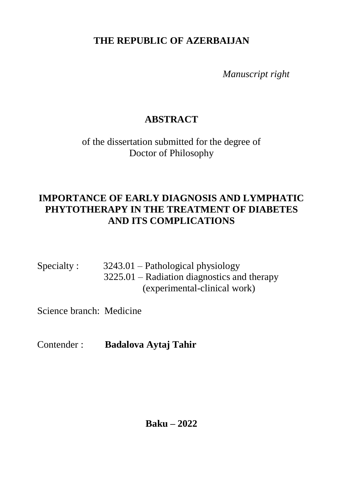**THE REPUBLIC OF AZERBAIJAN**

 *Manuscript right*

# **ABSTRACT**

of the dissertation submitted for the degree of Doctor of Philosophy

# **IMPORTANCE OF EARLY DIAGNOSIS AND LYMPHATIC PHYTOTHERAPY IN THE TREATMENT OF DIABETES AND ITS COMPLICATIONS**

Specialty : 3243.01 – Pathological physiology 3225.01 – Radiation diagnostics and therapy (experimental-clinical work)

Science branch: Medicine

Contender : **Badalova Aytaj Tahir**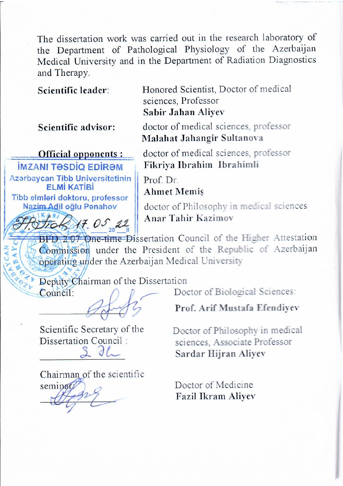The dissertation work was carried out in the research laboratory of the Department of Pathological Physiology of the Azerbaijan Medical University and in the Department of Radiation Diagnostics and Therapy.

**Scientific advisor:** 

**Official opponents:** 

Honored Scientist, Doctor of medical **Scientific leader:** Honored Scientist, Doctor Medical medical medical medical medical medical medical medical medical medical medical medical medical medical medical medical medical medical medical medical medical medical Sabir Jahan Aliyev

> doctor of medical sciences, professor **Malahat Jahangir Sultanova**

doctor of medical sciences, professor **IMZANI TƏSDİQ EDİRƏM** Fikriya İbrahim İbrahimli

Azərbaycan Tibb Universitetinin **ELMİ KATİBİ** Tibb elmləri doktoru, professor Nazim Adil oğlu Penahov

X7. 05 22

Prof. Dr **Ahmet Memis** 

doctor of Philosophy in medical sciences Anar Tahir Kazimov *Anar Tahir Kazimov* 

BFD 2.07 One-time Dissertation Council of the Higher Attestation Commission under the President of the Republic of Azerbaijan oberating under the Azerbaijan Medical University

\_\_\_\_\_\_\_\_\_\_\_\_\_\_\_\_\_ **Prof. Arif Mustafa Efendiyev**

 $\left\langle \frac{\partial}{\partial x} \right\rangle$ 

 $\text{Count}$ :  $\bigcap_{n \in \mathbb{N}} \bigcap_{n \in \mathbb{N}} \text{ Doctor of Biological Sciences}$ :

Prof. Arif Mustafa Efendivev

Scientific Secretary of the Dissertation Council:

Doctor of Philosophy in medical sciences. Associate Professor  $J_{\sim}$  Sardar Hijran Alivev sciences, Associate Professor

Chairman of the scientific  $\mathcal{L}_{\mathcal{A}}$ \_\_\_\_\_\_\_\_\_\_\_\_\_\_\_ **Fazil Ikram Aliyev**

Doctor of Medicine Fazil Ikram Aliyev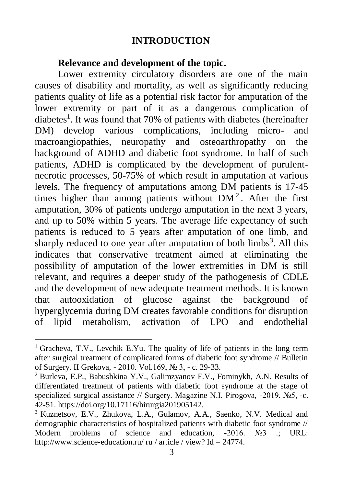#### **INTRODUCTION**

#### **Relevance and development of the topic.**

Lower extremity circulatory disorders are one of the main causes of disability and mortality, as well as significantly reducing patients quality of life as a potential risk factor for amputation of the lower extremity or part of it as a dangerous complication of diabetes<sup>1</sup>. It was found that 70% of patients with diabetes (hereinafter DM) develop various complications, including micro- and macroangiopathies, neuropathy and osteoarthropathy on the background of ADHD and diabetic foot syndrome. In half of such patients, ADHD is complicated by the development of purulentnecrotic processes, 50-75% of which result in amputation at various levels. The frequency of amputations among DM patients is 17-45 times higher than among patients without  $DM<sup>2</sup>$ . After the first amputation, 30% of patients undergo amputation in the next 3 years, and up to 50% within 5 years. The average life expectancy of such patients is reduced to 5 years after amputation of one limb, and sharply reduced to one year after amputation of both  $\lim_{s \to \infty}$ . All this indicates that conservative treatment aimed at eliminating the possibility of amputation of the lower extremities in DM is still relevant, and requires a deeper study of the pathogenesis of CDLE and the development of new adequate treatment methods. It is known that autooxidation of glucose against the background of hyperglycemia during DM creates favorable conditions for disruption of lipid metabolism, activation of LPO and endothelial

 $\overline{a}$ 

<sup>&</sup>lt;sup>1</sup> Gracheva, T.V., Levchik E.Yu. The quality of life of patients in the long term after surgical treatment of complicated forms of diabetic foot syndrome // Bulletin of Surgery. II Grekova, - 2010. Vol.169, № 3, - c. 29-33.

<sup>2</sup> Burleva, E.P., Babushkina Y.V., Galimzyanov F.V., Fominykh, A.N. Results of differentiated treatment of patients with diabetic foot syndrome at the stage of specialized surgical assistance // Surgery. Magazine N.I. Pirogova, -2019. №5, -c. 42-51. https://doi.org/10.17116/hirurgia201905142.

<sup>&</sup>lt;sup>3</sup> Kuznetsov, E.V., Zhukova, L.A., Gulamov, A.A., Saenko, N.V. Medical and demographic characteristics of hospitalized patients with diabetic foot syndrome // Modern problems of science and education, -2016. №3 .; URL: http://www.science-education.ru/ ru / article / view? Id = 24774.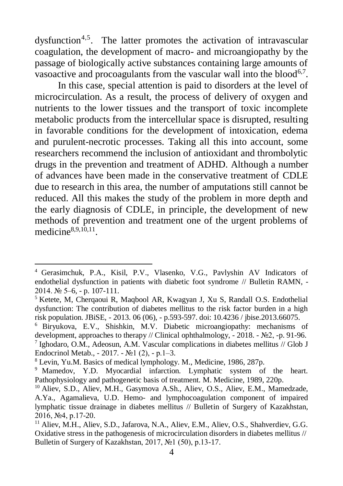dysfunction<sup>4,5</sup>. The latter promotes the activation of intravascular coagulation, the development of macro- and microangiopathy by the passage of biologically active substances containing large amounts of vasoactive and procoagulants from the vascular wall into the blood<sup>6,7</sup>.

In this case, special attention is paid to disorders at the level of microcirculation. As a result, the process of delivery of oxygen and nutrients to the lower tissues and the transport of toxic incomplete metabolic products from the intercellular space is disrupted, resulting in favorable conditions for the development of intoxication, edema and purulent-necrotic processes. Taking all this into account, some researchers recommend the inclusion of antioxidant and thrombolytic drugs in the prevention and treatment of ADHD. Although a number of advances have been made in the conservative treatment of CDLE due to research in this area, the number of amputations still cannot be reduced. All this makes the study of the problem in more depth and the early diagnosis of CDLE, in principle, the development of new methods of prevention and treatment one of the urgent problems of medicine<sup>8,9,10,11</sup>.

l <sup>4</sup> Gerasimchuk, P.A., Kisil, P.V., Vlasenko, V.G., Pavlyshin AV Indicators of endothelial dysfunction in patients with diabetic foot syndrome // Bulletin RAMN, - 2014. № 5–6, - p. 107-111.

<sup>5</sup> Ketete, M, Cherqaoui R, Maqbool AR, Kwagyan J, Xu S, Randall O.S. Endothelial dysfunction: The contribution of diabetes mellitus to the risk factor burden in a high risk population. JBiSE, - 2013. 06 (06), - p.593-597. doi: 10.4236 / jbise.2013.66075.

<sup>6</sup> Biryukova, E.V., Shishkin, M.V. Diabetic microangiopathy: mechanisms of development, approaches to therapy // Clinical ophthalmology, - 2018. - №2, -p. 91-96. <sup>7</sup> Ighodaro, O.M., Adeosun, A.M. Vascular complications in diabetes mellitus // Glob J Endocrinol Metab.,  $-2017. - N<sub>2</sub>1(2)$ ,  $- p.1-3.$ 

<sup>8</sup> Levin, Yu.M. Basics of medical lymphology. M., Medicine, 1986, 287p.

<sup>&</sup>lt;sup>9</sup> Mamedov, Y.D. Myocardial infarction. Lymphatic system of the heart. Pathophysiology and pathogenetic basis of treatment. M. Medicine, 1989, 220p.

<sup>&</sup>lt;sup>10</sup> Aliev, S.D., Aliev, M.H., Gasymova A.Sh., Aliev, O.S., Aliev, E.M., Mamedzade, A.Ya., Agamalieva, U.D. Hemo- and lymphocoagulation component of impaired lymphatic tissue drainage in diabetes mellitus // Bulletin of Surgery of Kazakhstan, 2016, №4, p.17-20.

<sup>&</sup>lt;sup>11</sup> Aliev, M.H., Aliev, S.D., Jafarova, N.A., Aliev, E.M., Aliev, O.S., Shahverdiev, G.G. Oxidative stress in the pathogenesis of microcirculation disorders in diabetes mellitus // Bulletin of Surgery of Kazakhstan, 2017, №1 (50), p.13-17.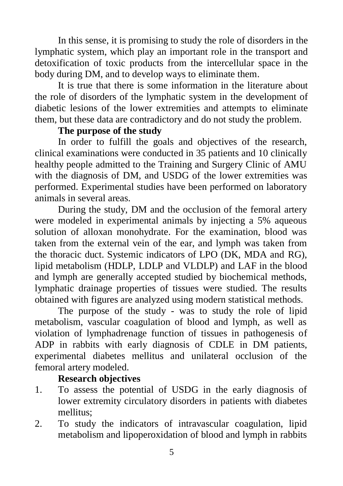In this sense, it is promising to study the role of disorders in the lymphatic system, which play an important role in the transport and detoxification of toxic products from the intercellular space in the body during DM, and to develop ways to eliminate them.

It is true that there is some information in the literature about the role of disorders of the lymphatic system in the development of diabetic lesions of the lower extremities and attempts to eliminate them, but these data are contradictory and do not study the problem.

## **The purpose of the study**

In order to fulfill the goals and objectives of the research, clinical examinations were conducted in 35 patients and 10 clinically healthy people admitted to the Training and Surgery Clinic of AMU with the diagnosis of DM, and USDG of the lower extremities was performed. Experimental studies have been performed on laboratory animals in several areas.

During the study, DM and the occlusion of the femoral artery were modeled in experimental animals by injecting a 5% aqueous solution of alloxan monohydrate. For the examination, blood was taken from the external vein of the ear, and lymph was taken from the thoracic duct. Systemic indicators of LPO (DK, MDA and RG), lipid metabolism (HDLP, LDLP and VLDLP) and LAF in the blood and lymph are generally accepted studied by biochemical methods, lymphatic drainage properties of tissues were studied. The results obtained with figures are analyzed using modern statistical methods.

The purpose of the study - was to study the role of lipid metabolism, vascular coagulation of blood and lymph, as well as violation of lymphadrenage function of tissues in pathogenesis of ADP in rabbits with early diagnosis of CDLE in DM patients, experimental diabetes mellitus and unilateral occlusion of the femoral artery modeled.

## **Research objectives**

- 1. To assess the potential of USDG in the early diagnosis of lower extremity circulatory disorders in patients with diabetes mellitus;
- 2. To study the indicators of intravascular coagulation, lipid metabolism and lipoperoxidation of blood and lymph in rabbits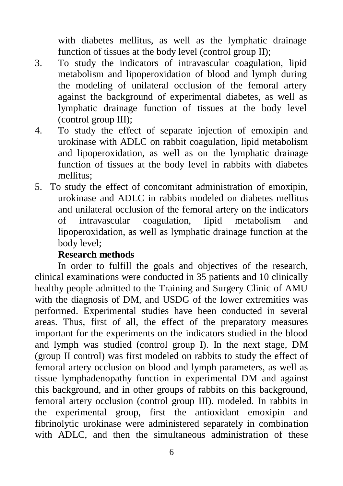with diabetes mellitus, as well as the lymphatic drainage function of tissues at the body level (control group II);

- 3. To study the indicators of intravascular coagulation, lipid metabolism and lipoperoxidation of blood and lymph during the modeling of unilateral occlusion of the femoral artery against the background of experimental diabetes, as well as lymphatic drainage function of tissues at the body level (control group III);
- 4. To study the effect of separate injection of emoxipin and urokinase with ADLC on rabbit coagulation, lipid metabolism and lipoperoxidation, as well as on the lymphatic drainage function of tissues at the body level in rabbits with diabetes mellitus;
- 5. To study the effect of concomitant administration of emoxipin, urokinase and ADLC in rabbits modeled on diabetes mellitus and unilateral occlusion of the femoral artery on the indicators of intravascular coagulation, lipid metabolism and lipoperoxidation, as well as lymphatic drainage function at the body level;

## **Research methods**

In order to fulfill the goals and objectives of the research, clinical examinations were conducted in 35 patients and 10 clinically healthy people admitted to the Training and Surgery Clinic of AMU with the diagnosis of DM, and USDG of the lower extremities was performed. Experimental studies have been conducted in several areas. Thus, first of all, the effect of the preparatory measures important for the experiments on the indicators studied in the blood and lymph was studied (control group I). In the next stage, DM (group II control) was first modeled on rabbits to study the effect of femoral artery occlusion on blood and lymph parameters, as well as tissue lymphadenopathy function in experimental DM and against this background, and in other groups of rabbits on this background, femoral artery occlusion (control group III). modeled. In rabbits in the experimental group, first the antioxidant emoxipin and fibrinolytic urokinase were administered separately in combination with ADLC, and then the simultaneous administration of these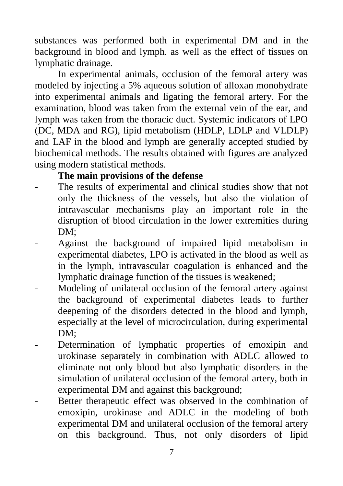substances was performed both in experimental DM and in the background in blood and lymph. as well as the effect of tissues on lymphatic drainage.

In experimental animals, occlusion of the femoral artery was modeled by injecting a 5% aqueous solution of alloxan monohydrate into experimental animals and ligating the femoral artery. For the examination, blood was taken from the external vein of the ear, and lymph was taken from the thoracic duct. Systemic indicators of LPO (DC, MDA and RG), lipid metabolism (HDLP, LDLP and VLDLP) and LAF in the blood and lymph are generally accepted studied by biochemical methods. The results obtained with figures are analyzed using modern statistical methods.

## **The main provisions of the defense**

- The results of experimental and clinical studies show that not only the thickness of the vessels, but also the violation of intravascular mechanisms play an important role in the disruption of blood circulation in the lower extremities during DM:
- Against the background of impaired lipid metabolism in experimental diabetes, LPO is activated in the blood as well as in the lymph, intravascular coagulation is enhanced and the lymphatic drainage function of the tissues is weakened;
- Modeling of unilateral occlusion of the femoral artery against the background of experimental diabetes leads to further deepening of the disorders detected in the blood and lymph, especially at the level of microcirculation, during experimental DM:
- Determination of lymphatic properties of emoxipin and urokinase separately in combination with ADLC allowed to eliminate not only blood but also lymphatic disorders in the simulation of unilateral occlusion of the femoral artery, both in experimental DM and against this background;
- Better therapeutic effect was observed in the combination of emoxipin, urokinase and ADLC in the modeling of both experimental DM and unilateral occlusion of the femoral artery on this background. Thus, not only disorders of lipid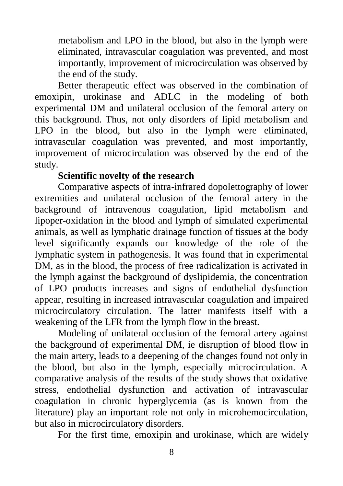metabolism and LPO in the blood, but also in the lymph were eliminated, intravascular coagulation was prevented, and most importantly, improvement of microcirculation was observed by the end of the study.

Better therapeutic effect was observed in the combination of emoxipin, urokinase and ADLC in the modeling of both experimental DM and unilateral occlusion of the femoral artery on this background. Thus, not only disorders of lipid metabolism and LPO in the blood, but also in the lymph were eliminated, intravascular coagulation was prevented, and most importantly, improvement of microcirculation was observed by the end of the study.

## **Scientific novelty of the research**

Comparative aspects of intra-infrared dopolettography of lower extremities and unilateral occlusion of the femoral artery in the background of intravenous coagulation, lipid metabolism and lipoper-oxidation in the blood and lymph of simulated experimental animals, as well as lymphatic drainage function of tissues at the body level significantly expands our knowledge of the role of the lymphatic system in pathogenesis. It was found that in experimental DM, as in the blood, the process of free radicalization is activated in the lymph against the background of dyslipidemia, the concentration of LPO products increases and signs of endothelial dysfunction appear, resulting in increased intravascular coagulation and impaired microcirculatory circulation. The latter manifests itself with a weakening of the LFR from the lymph flow in the breast.

Modeling of unilateral occlusion of the femoral artery against the background of experimental DM, ie disruption of blood flow in the main artery, leads to a deepening of the changes found not only in the blood, but also in the lymph, especially microcirculation. A comparative analysis of the results of the study shows that oxidative stress, endothelial dysfunction and activation of intravascular coagulation in chronic hyperglycemia (as is known from the literature) play an important role not only in microhemocirculation, but also in microcirculatory disorders.

For the first time, emoxipin and urokinase, which are widely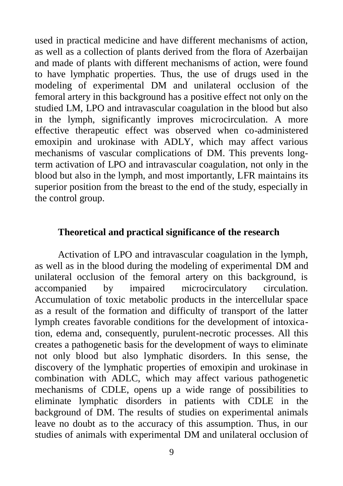used in practical medicine and have different mechanisms of action, as well as a collection of plants derived from the flora of Azerbaijan and made of plants with different mechanisms of action, were found to have lymphatic properties. Thus, the use of drugs used in the modeling of experimental DM and unilateral occlusion of the femoral artery in this background has a positive effect not only on the studied LM, LPO and intravascular coagulation in the blood but also in the lymph, significantly improves microcirculation. A more effective therapeutic effect was observed when co-administered emoxipin and urokinase with ADLY, which may affect various mechanisms of vascular complications of DM. This prevents longterm activation of LPO and intravascular coagulation, not only in the blood but also in the lymph, and most importantly, LFR maintains its superior position from the breast to the end of the study, especially in the control group.

#### **Theoretical and practical significance of the research**

Activation of LPO and intravascular coagulation in the lymph, as well as in the blood during the modeling of experimental DM and unilateral occlusion of the femoral artery on this background, is accompanied by impaired microcirculatory circulation. Accumulation of toxic metabolic products in the intercellular space as a result of the formation and difficulty of transport of the latter lymph creates favorable conditions for the development of intoxication, edema and, consequently, purulent-necrotic processes. All this creates a pathogenetic basis for the development of ways to eliminate not only blood but also lymphatic disorders. In this sense, the discovery of the lymphatic properties of emoxipin and urokinase in combination with ADLC, which may affect various pathogenetic mechanisms of CDLE, opens up a wide range of possibilities to eliminate lymphatic disorders in patients with CDLE in the background of DM. The results of studies on experimental animals leave no doubt as to the accuracy of this assumption. Thus, in our studies of animals with experimental DM and unilateral occlusion of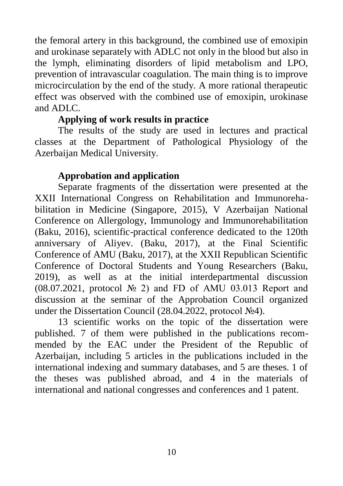the femoral artery in this background, the combined use of emoxipin and urokinase separately with ADLC not only in the blood but also in the lymph, eliminating disorders of lipid metabolism and LPO, prevention of intravascular coagulation. The main thing is to improve microcirculation by the end of the study. A more rational therapeutic effect was observed with the combined use of emoxipin, urokinase and ADLC.

## **Applying of work results in practice**

The results of the study are used in lectures and practical classes at the Department of Pathological Physiology of the Azerbaijan Medical University.

## **Approbation and application**

Separate fragments of the dissertation were presented at the XXII International Congress on Rehabilitation and Immunorehabilitation in Medicine (Singapore, 2015), V Azerbaijan National Conference on Allergology, Immunology and Immunorehabilitation (Baku, 2016), scientific-practical conference dedicated to the 120th anniversary of Aliyev. (Baku, 2017), at the Final Scientific Conference of AMU (Baku, 2017), at the XXII Republican Scientific Conference of Doctoral Students and Young Researchers (Baku, 2019), as well as at the initial interdepartmental discussion (08.07.2021, protocol № 2) and FD of AMU 03.013 Report and discussion at the seminar of the Approbation Council organized under the Dissertation Council (28.04.2022, protocol №4).

13 scientific works on the topic of the dissertation were published. 7 of them were published in the publications recommended by the EAC under the President of the Republic of Azerbaijan, including 5 articles in the publications included in the international indexing and summary databases, and 5 are theses. 1 of the theses was published abroad, and 4 in the materials of international and national congresses and conferences and 1 patent.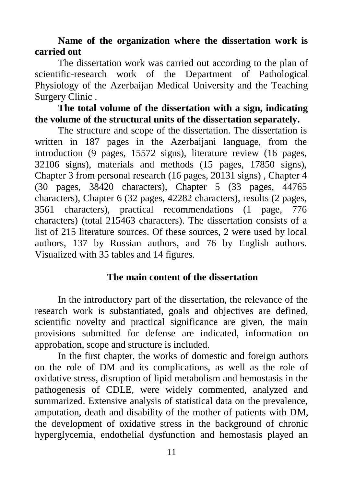## **Name of the organization where the dissertation work is carried out**

The dissertation work was carried out according to the plan of scientific-research work of the Department of Pathological Physiology of the Azerbaijan Medical University and the Teaching Surgery Clinic .

## **The total volume of the dissertation with a sign, indicating the volume of the structural units of the dissertation separately.**

The structure and scope of the dissertation. The dissertation is written in 187 pages in the Azerbaijani language, from the introduction (9 pages, 15572 signs), literature review (16 pages, 32106 signs), materials and methods (15 pages, 17850 signs), Chapter 3 from personal research (16 pages, 20131 signs) , Chapter 4 (30 pages, 38420 characters), Chapter 5 (33 pages, 44765 characters), Chapter 6 (32 pages, 42282 characters), results (2 pages, 3561 characters), practical recommendations (1 page, 776 characters) (total 215463 characters). The dissertation consists of a list of 215 literature sources. Of these sources, 2 were used by local authors, 137 by Russian authors, and 76 by English authors. Visualized with 35 tables and 14 figures.

## **The main content of the dissertation**

In the introductory part of the dissertation, the relevance of the research work is substantiated, goals and objectives are defined, scientific novelty and practical significance are given, the main provisions submitted for defense are indicated, information on approbation, scope and structure is included.

In the first chapter, the works of domestic and foreign authors on the role of DM and its complications, as well as the role of oxidative stress, disruption of lipid metabolism and hemostasis in the pathogenesis of CDLE, were widely commented, analyzed and summarized. Extensive analysis of statistical data on the prevalence, amputation, death and disability of the mother of patients with DM, the development of oxidative stress in the background of chronic hyperglycemia, endothelial dysfunction and hemostasis played an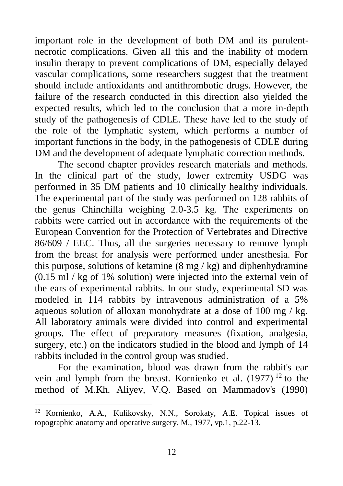important role in the development of both DM and its purulentnecrotic complications. Given all this and the inability of modern insulin therapy to prevent complications of DM, especially delayed vascular complications, some researchers suggest that the treatment should include antioxidants and antithrombotic drugs. However, the failure of the research conducted in this direction also yielded the expected results, which led to the conclusion that a more in-depth study of the pathogenesis of CDLE. These have led to the study of the role of the lymphatic system, which performs a number of important functions in the body, in the pathogenesis of CDLE during DM and the development of adequate lymphatic correction methods.

The second chapter provides research materials and methods. In the clinical part of the study, lower extremity USDG was performed in 35 DM patients and 10 clinically healthy individuals. The experimental part of the study was performed on 128 rabbits of the genus Chinchilla weighing 2.0-3.5 kg. The experiments on rabbits were carried out in accordance with the requirements of the European Convention for the Protection of Vertebrates and Directive 86/609 / EEC. Thus, all the surgeries necessary to remove lymph from the breast for analysis were performed under anesthesia. For this purpose, solutions of ketamine  $(8 \text{ mg} / \text{kg})$  and diphenhydramine (0.15 ml / kg of 1% solution) were injected into the external vein of the ears of experimental rabbits. In our study, experimental SD was modeled in 114 rabbits by intravenous administration of a 5% aqueous solution of alloxan monohydrate at a dose of 100 mg / kg. All laboratory animals were divided into control and experimental groups. The effect of preparatory measures (fixation, analgesia, surgery, etc.) on the indicators studied in the blood and lymph of 14 rabbits included in the control group was studied.

For the examination, blood was drawn from the rabbit's ear vein and lymph from the breast. Kornienko et al. (1977) <sup>12</sup> to the method of M.Kh. Aliyev, V.Q. Based on Mammadov's (1990)

 $\overline{a}$ 

<sup>12</sup> Kornienko, A.A., Kulikovsky, N.N., Sorokaty, A.E. Topical issues of topographic anatomy and operative surgery. M., 1977, vp.1, p.22-13.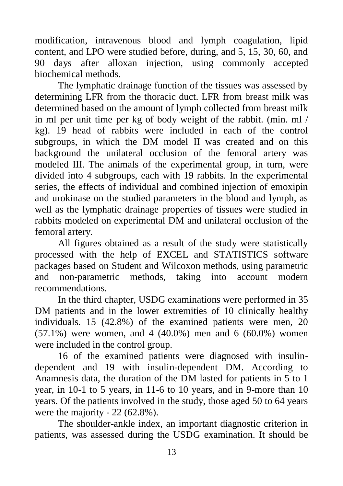modification, intravenous blood and lymph coagulation, lipid content, and LPO were studied before, during, and 5, 15, 30, 60, and 90 days after alloxan injection, using commonly accepted biochemical methods.

The lymphatic drainage function of the tissues was assessed by determining LFR from the thoracic duct. LFR from breast milk was determined based on the amount of lymph collected from breast milk in ml per unit time per kg of body weight of the rabbit. (min. ml / kg). 19 head of rabbits were included in each of the control subgroups, in which the DM model II was created and on this background the unilateral occlusion of the femoral artery was modeled III. The animals of the experimental group, in turn, were divided into 4 subgroups, each with 19 rabbits. In the experimental series, the effects of individual and combined injection of emoxipin and urokinase on the studied parameters in the blood and lymph, as well as the lymphatic drainage properties of tissues were studied in rabbits modeled on experimental DM and unilateral occlusion of the femoral artery.

All figures obtained as a result of the study were statistically processed with the help of EXCEL and STATISTICS software packages based on Student and Wilcoxon methods, using parametric and non-parametric methods, taking into account modern recommendations.

In the third chapter, USDG examinations were performed in 35 DM patients and in the lower extremities of 10 clinically healthy individuals. 15 (42.8%) of the examined patients were men, 20 (57.1%) were women, and 4 (40.0%) men and 6 (60.0%) women were included in the control group.

16 of the examined patients were diagnosed with insulindependent and 19 with insulin-dependent DM. According to Anamnesis data, the duration of the DM lasted for patients in 5 to 1 year, in 10-1 to 5 years, in 11-6 to 10 years, and in 9-more than 10 years. Of the patients involved in the study, those aged 50 to 64 years were the majority - 22 (62.8%).

The shoulder-ankle index, an important diagnostic criterion in patients, was assessed during the USDG examination. It should be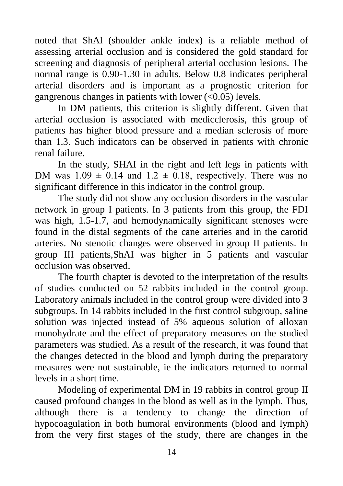noted that ShAI (shoulder ankle index) is a reliable method of assessing arterial occlusion and is considered the gold standard for screening and diagnosis of peripheral arterial occlusion lesions. The normal range is 0.90-1.30 in adults. Below 0.8 indicates peripheral arterial disorders and is important as a prognostic criterion for gangrenous changes in patients with lower  $(<0.05)$  levels.

In DM patients, this criterion is slightly different. Given that arterial occlusion is associated with medicclerosis, this group of patients has higher blood pressure and a median sclerosis of more than 1.3. Such indicators can be observed in patients with chronic renal failure.

In the study, SHAI in the right and left legs in patients with DM was  $1.09 \pm 0.14$  and  $1.2 \pm 0.18$ , respectively. There was no significant difference in this indicator in the control group.

The study did not show any occlusion disorders in the vascular network in group I patients. In 3 patients from this group, the FDI was high, 1.5-1.7, and hemodynamically significant stenoses were found in the distal segments of the cane arteries and in the carotid arteries. No stenotic changes were observed in group II patients. In group III patients,ShAI was higher in 5 patients and vascular occlusion was observed.

The fourth chapter is devoted to the interpretation of the results of studies conducted on 52 rabbits included in the control group. Laboratory animals included in the control group were divided into 3 subgroups. In 14 rabbits included in the first control subgroup, saline solution was injected instead of 5% aqueous solution of alloxan monohydrate and the effect of preparatory measures on the studied parameters was studied. As a result of the research, it was found that the changes detected in the blood and lymph during the preparatory measures were not sustainable, ie the indicators returned to normal levels in a short time.

Modeling of experimental DM in 19 rabbits in control group II caused profound changes in the blood as well as in the lymph. Thus, although there is a tendency to change the direction of hypocoagulation in both humoral environments (blood and lymph) from the very first stages of the study, there are changes in the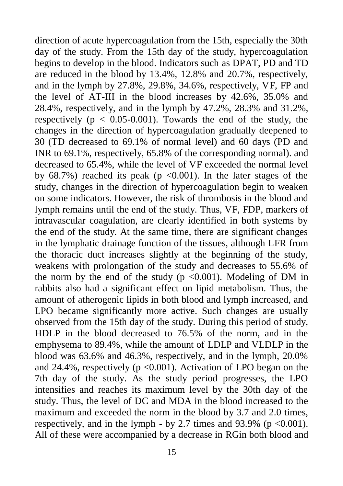direction of acute hypercoagulation from the 15th, especially the 30th day of the study. From the 15th day of the study, hypercoagulation begins to develop in the blood. Indicators such as DPAT, PD and TD are reduced in the blood by 13.4%, 12.8% and 20.7%, respectively, and in the lymph by 27.8%, 29.8%, 34.6%, respectively, VF, FP and the level of AT-III in the blood increases by 42.6%, 35.0% and 28.4%, respectively, and in the lymph by 47.2%, 28.3% and 31.2%, respectively ( $p < 0.05$ -0.001). Towards the end of the study, the changes in the direction of hypercoagulation gradually deepened to 30 (TD decreased to 69.1% of normal level) and 60 days (PD and INR to 69.1%, respectively, 65.8% of the corresponding normal). and decreased to 65.4%, while the level of VF exceeded the normal level by  $68.7\%$ ) reached its peak (p <0.001). In the later stages of the study, changes in the direction of hypercoagulation begin to weaken on some indicators. However, the risk of thrombosis in the blood and lymph remains until the end of the study. Thus, VF, FDP, markers of intravascular coagulation, are clearly identified in both systems by the end of the study. At the same time, there are significant changes in the lymphatic drainage function of the tissues, although LFR from the thoracic duct increases slightly at the beginning of the study, weakens with prolongation of the study and decreases to 55.6% of the norm by the end of the study ( $p \le 0.001$ ). Modeling of DM in rabbits also had a significant effect on lipid metabolism. Thus, the amount of atherogenic lipids in both blood and lymph increased, and LPO became significantly more active. Such changes are usually observed from the 15th day of the study. During this period of study, HDLP in the blood decreased to 76.5% of the norm, and in the emphysema to 89.4%, while the amount of LDLP and VLDLP in the blood was 63.6% and 46.3%, respectively, and in the lymph, 20.0% and 24.4%, respectively ( $p \le 0.001$ ). Activation of LPO began on the 7th day of the study. As the study period progresses, the LPO intensifies and reaches its maximum level by the 30th day of the study. Thus, the level of DC and MDA in the blood increased to the maximum and exceeded the norm in the blood by 3.7 and 2.0 times, respectively, and in the lymph - by 2.7 times and 93.9% ( $p \le 0.001$ ). All of these were accompanied by a decrease in RGin both blood and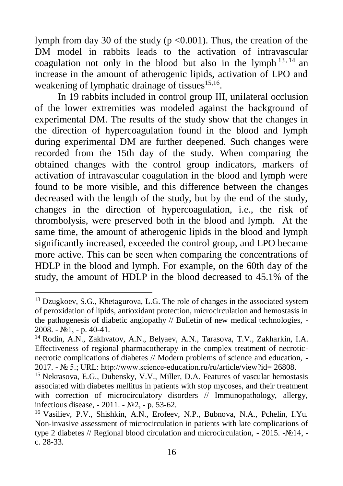lymph from day 30 of the study ( $p < 0.001$ ). Thus, the creation of the DM model in rabbits leads to the activation of intravascular coagulation not only in the blood but also in the lymph  $13, 14$  an increase in the amount of atherogenic lipids, activation of LPO and weakening of lymphatic drainage of tissues<sup>15,16</sup>.

In 19 rabbits included in control group III, unilateral occlusion of the lower extremities was modeled against the background of experimental DM. The results of the study show that the changes in the direction of hypercoagulation found in the blood and lymph during experimental DM are further deepened. Such changes were recorded from the 15th day of the study. When comparing the obtained changes with the control group indicators, markers of activation of intravascular coagulation in the blood and lymph were found to be more visible, and this difference between the changes decreased with the length of the study, but by the end of the study, changes in the direction of hypercoagulation, i.e., the risk of thrombolysis, were preserved both in the blood and lymph. At the same time, the amount of atherogenic lipids in the blood and lymph significantly increased, exceeded the control group, and LPO became more active. This can be seen when comparing the concentrations of HDLP in the blood and lymph. For example, on the 60th day of the study, the amount of HDLP in the blood decreased to 45.1% of the

 $\overline{a}$ 

<sup>&</sup>lt;sup>13</sup> Dzugkoev, S.G., Khetagurova, L.G. The role of changes in the associated system of peroxidation of lipids, antioxidant protection, microcirculation and hemostasis in the pathogenesis of diabetic angiopathy // Bulletin of new medical technologies, - 2008. - №1, - p. 40-41.

<sup>14</sup> Rodin, A.N., Zakhvatov, A.N., Belyaev, A.N., Tarasova, T.V., Zakharkin, I.A. Effectiveness of regional pharmacotherapy in the complex treatment of necroticnecrotic complications of diabetes // Modern problems of science and education, - 2017. - № 5.; URL: http://www.science-education.ru/ru/article/view?id= 26808.

<sup>&</sup>lt;sup>15</sup> Nekrasova, E.G., Dubensky, V.V., Miller, D.A. Features of vascular hemostasis associated with diabetes mellitus in patients with stop mycoses, and their treatment with correction of microcirculatory disorders // Immunopathology, allergy, infectious disease, - 2011. - №2, - p. 53-62.

<sup>&</sup>lt;sup>16</sup> Vasiliev, P.V., Shishkin, A.N., Erofeev, N.P., Bubnova, N.A., Pchelin, I.Yu. Non-invasive assessment of microcirculation in patients with late complications of type 2 diabetes // Regional blood circulation and microcirculation, - 2015. -№14, c. 28-33.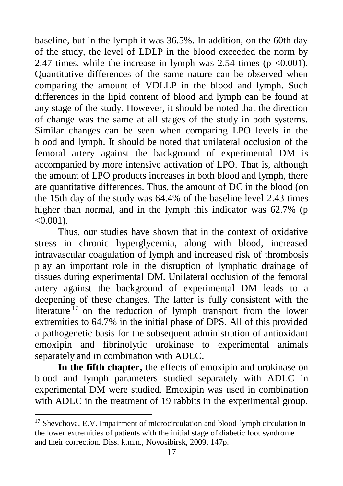baseline, but in the lymph it was 36.5%. In addition, on the 60th day of the study, the level of LDLP in the blood exceeded the norm by 2.47 times, while the increase in lymph was 2.54 times ( $p \le 0.001$ ). Quantitative differences of the same nature can be observed when comparing the amount of VDLLP in the blood and lymph. Such differences in the lipid content of blood and lymph can be found at any stage of the study. However, it should be noted that the direction of change was the same at all stages of the study in both systems. Similar changes can be seen when comparing LPO levels in the blood and lymph. It should be noted that unilateral occlusion of the femoral artery against the background of experimental DM is accompanied by more intensive activation of LPO. That is, although the amount of LPO products increases in both blood and lymph, there are quantitative differences. Thus, the amount of DC in the blood (on the 15th day of the study was 64.4% of the baseline level 2.43 times higher than normal, and in the lymph this indicator was 62.7% (p  $< 0.001$ ).

Thus, our studies have shown that in the context of oxidative stress in chronic hyperglycemia, along with blood, increased intravascular coagulation of lymph and increased risk of thrombosis play an important role in the disruption of lymphatic drainage of tissues during experimental DM. Unilateral occlusion of the femoral artery against the background of experimental DM leads to a deepening of these changes. The latter is fully consistent with the literature  $17$  on the reduction of lymph transport from the lower extremities to 64.7% in the initial phase of DPS. All of this provided a pathogenetic basis for the subsequent administration of antioxidant emoxipin and fibrinolytic urokinase to experimental animals separately and in combination with ADLC.

**In the fifth chapter,** the effects of emoxipin and urokinase on blood and lymph parameters studied separately with ADLC in experimental DM were studied. Emoxipin was used in combination with ADLC in the treatment of 19 rabbits in the experimental group.

 $\overline{a}$ 

<sup>&</sup>lt;sup>17</sup> Shevchova, E.V. Impairment of microcirculation and blood-lymph circulation in the lower extremities of patients with the initial stage of diabetic foot syndrome and their correction. Diss. k.m.n., Novosibirsk, 2009, 147p.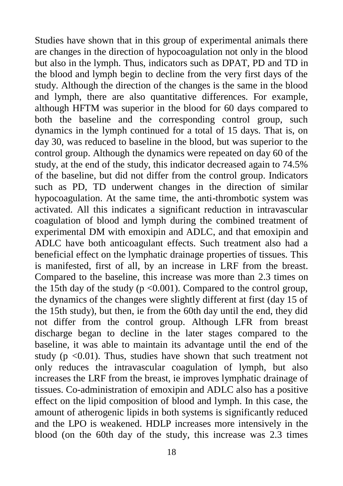Studies have shown that in this group of experimental animals there are changes in the direction of hypocoagulation not only in the blood but also in the lymph. Thus, indicators such as DPAT, PD and TD in the blood and lymph begin to decline from the very first days of the study. Although the direction of the changes is the same in the blood and lymph, there are also quantitative differences. For example, although HFTM was superior in the blood for 60 days compared to both the baseline and the corresponding control group, such dynamics in the lymph continued for a total of 15 days. That is, on day 30, was reduced to baseline in the blood, but was superior to the control group. Although the dynamics were repeated on day 60 of the study, at the end of the study, this indicator decreased again to 74.5% of the baseline, but did not differ from the control group. Indicators such as PD, TD underwent changes in the direction of similar hypocoagulation. At the same time, the anti-thrombotic system was activated. All this indicates a significant reduction in intravascular coagulation of blood and lymph during the combined treatment of experimental DM with emoxipin and ADLC, and that emoxipin and ADLC have both anticoagulant effects. Such treatment also had a beneficial effect on the lymphatic drainage properties of tissues. This is manifested, first of all, by an increase in LRF from the breast. Compared to the baseline, this increase was more than 2.3 times on the 15th day of the study ( $p \le 0.001$ ). Compared to the control group, the dynamics of the changes were slightly different at first (day 15 of the 15th study), but then, ie from the 60th day until the end, they did not differ from the control group. Although LFR from breast discharge began to decline in the later stages compared to the baseline, it was able to maintain its advantage until the end of the study ( $p < 0.01$ ). Thus, studies have shown that such treatment not only reduces the intravascular coagulation of lymph, but also increases the LRF from the breast, ie improves lymphatic drainage of tissues. Co-administration of emoxipin and ADLC also has a positive effect on the lipid composition of blood and lymph. In this case, the amount of atherogenic lipids in both systems is significantly reduced and the LPO is weakened. HDLP increases more intensively in the blood (on the 60th day of the study, this increase was 2.3 times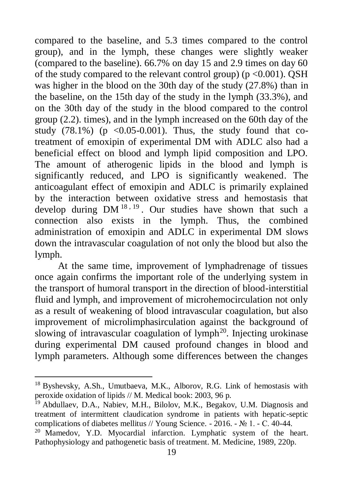compared to the baseline, and 5.3 times compared to the control group), and in the lymph, these changes were slightly weaker (compared to the baseline). 66.7% on day 15 and 2.9 times on day 60 of the study compared to the relevant control group) ( $p \le 0.001$ ). QSH was higher in the blood on the 30th day of the study (27.8%) than in the baseline, on the 15th day of the study in the lymph (33.3%), and on the 30th day of the study in the blood compared to the control group (2.2). times), and in the lymph increased on the 60th day of the study  $(78.1\%)$  (p < 0.05-0.001). Thus, the study found that cotreatment of emoxipin of experimental DM with ADLC also had a beneficial effect on blood and lymph lipid composition and LPO. The amount of atherogenic lipids in the blood and lymph is significantly reduced, and LPO is significantly weakened. The anticoagulant effect of emoxipin and ADLC is primarily explained by the interaction between oxidative stress and hemostasis that develop during  $DM^{18,19}$ . Our studies have shown that such a connection also exists in the lymph. Thus, the combined administration of emoxipin and ADLC in experimental DM slows down the intravascular coagulation of not only the blood but also the lymph.

At the same time, improvement of lymphadrenage of tissues once again confirms the important role of the underlying system in the transport of humoral transport in the direction of blood-interstitial fluid and lymph, and improvement of microhemocirculation not only as a result of weakening of blood intravascular coagulation, but also improvement of microlimphasirculation against the background of slowing of intravascular coagulation of lymph<sup>20</sup>. Injecting urokinase during experimental DM caused profound changes in blood and lymph parameters. Although some differences between the changes

 $\overline{a}$ 

<sup>18</sup> Byshevsky, A.Sh., Umutbaeva, M.K., Alborov, R.G. Link of hemostasis with peroxide oxidation of lipids // M. Medical book: 2003, 96 p.

<sup>&</sup>lt;sup>19</sup> Abdullaev, D.A., Nabiev, M.H., Bilolov, M.K., Begakov, U.M. Diagnosis and treatment of intermittent claudication syndrome in patients with hepatic-septic complications of diabetes mellitus // Young Science. - 2016. - № 1. - С. 40-44.

<sup>&</sup>lt;sup>20</sup> Mamedov, Y.D. Myocardial infarction. Lymphatic system of the heart. Pathophysiology and pathogenetic basis of treatment. M. Medicine, 1989, 220p.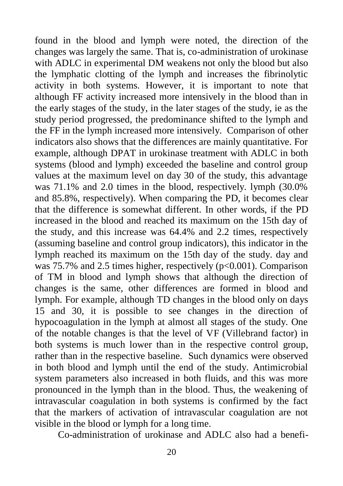found in the blood and lymph were noted, the direction of the changes was largely the same. That is, co-administration of urokinase with ADLC in experimental DM weakens not only the blood but also the lymphatic clotting of the lymph and increases the fibrinolytic activity in both systems. However, it is important to note that although FF activity increased more intensively in the blood than in the early stages of the study, in the later stages of the study, ie as the study period progressed, the predominance shifted to the lymph and the FF in the lymph increased more intensively. Comparison of other indicators also shows that the differences are mainly quantitative. For example, although DPAT in urokinase treatment with ADLC in both systems (blood and lymph) exceeded the baseline and control group values at the maximum level on day 30 of the study, this advantage was 71.1% and 2.0 times in the blood, respectively. lymph (30.0% and 85.8%, respectively). When comparing the PD, it becomes clear that the difference is somewhat different. In other words, if the PD increased in the blood and reached its maximum on the 15th day of the study, and this increase was 64.4% and 2.2 times, respectively (assuming baseline and control group indicators), this indicator in the lymph reached its maximum on the 15th day of the study. day and was 75.7% and 2.5 times higher, respectively  $(p<0.001)$ . Comparison of TM in blood and lymph shows that although the direction of changes is the same, other differences are formed in blood and lymph. For example, although TD changes in the blood only on days 15 and 30, it is possible to see changes in the direction of hypocoagulation in the lymph at almost all stages of the study. One of the notable changes is that the level of VF (Villebrand factor) in both systems is much lower than in the respective control group, rather than in the respective baseline. Such dynamics were observed in both blood and lymph until the end of the study. Antimicrobial system parameters also increased in both fluids, and this was more pronounced in the lymph than in the blood. Thus, the weakening of intravascular coagulation in both systems is confirmed by the fact that the markers of activation of intravascular coagulation are not visible in the blood or lymph for a long time.

Co-administration of urokinase and ADLC also had a benefi-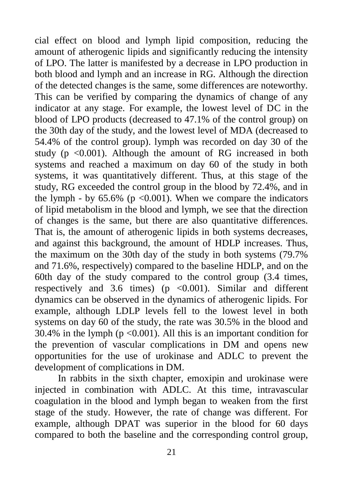cial effect on blood and lymph lipid composition, reducing the amount of atherogenic lipids and significantly reducing the intensity of LPO. The latter is manifested by a decrease in LPO production in both blood and lymph and an increase in RG. Although the direction of the detected changes is the same, some differences are noteworthy. This can be verified by comparing the dynamics of change of any indicator at any stage. For example, the lowest level of DC in the blood of LPO products (decreased to 47.1% of the control group) on the 30th day of the study, and the lowest level of MDA (decreased to 54.4% of the control group). lymph was recorded on day 30 of the study ( $p \le 0.001$ ). Although the amount of RG increased in both systems and reached a maximum on day 60 of the study in both systems, it was quantitatively different. Thus, at this stage of the study, RG exceeded the control group in the blood by 72.4%, and in the lymph - by  $65.6\%$  (p <0.001). When we compare the indicators of lipid metabolism in the blood and lymph, we see that the direction of changes is the same, but there are also quantitative differences. That is, the amount of atherogenic lipids in both systems decreases, and against this background, the amount of HDLP increases. Thus, the maximum on the 30th day of the study in both systems (79.7% and 71.6%, respectively) compared to the baseline HDLP, and on the 60th day of the study compared to the control group (3.4 times, respectively and 3.6 times) ( $p \le 0.001$ ). Similar and different dynamics can be observed in the dynamics of atherogenic lipids. For example, although LDLP levels fell to the lowest level in both systems on day 60 of the study, the rate was 30.5% in the blood and 30.4% in the lymph ( $p < 0.001$ ). All this is an important condition for the prevention of vascular complications in DM and opens new opportunities for the use of urokinase and ADLC to prevent the development of complications in DM.

In rabbits in the sixth chapter, emoxipin and urokinase were injected in combination with ADLC. At this time, intravascular coagulation in the blood and lymph began to weaken from the first stage of the study. However, the rate of change was different. For example, although DPAT was superior in the blood for 60 days compared to both the baseline and the corresponding control group,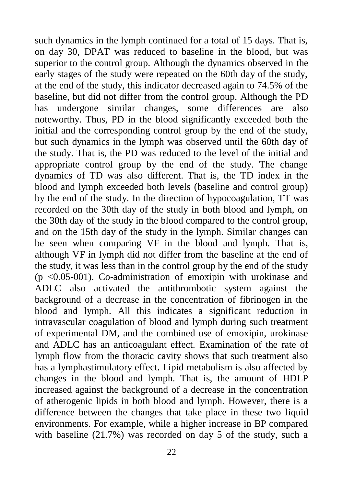such dynamics in the lymph continued for a total of 15 days. That is, on day 30, DPAT was reduced to baseline in the blood, but was superior to the control group. Although the dynamics observed in the early stages of the study were repeated on the 60th day of the study, at the end of the study, this indicator decreased again to 74.5% of the baseline, but did not differ from the control group. Although the PD has undergone similar changes, some differences are also noteworthy. Thus, PD in the blood significantly exceeded both the initial and the corresponding control group by the end of the study, but such dynamics in the lymph was observed until the 60th day of the study. That is, the PD was reduced to the level of the initial and appropriate control group by the end of the study. The change dynamics of TD was also different. That is, the TD index in the blood and lymph exceeded both levels (baseline and control group) by the end of the study. In the direction of hypocoagulation, TT was recorded on the 30th day of the study in both blood and lymph, on the 30th day of the study in the blood compared to the control group, and on the 15th day of the study in the lymph. Similar changes can be seen when comparing VF in the blood and lymph. That is, although VF in lymph did not differ from the baseline at the end of the study, it was less than in the control group by the end of the study  $(p \le 0.05-001)$ . Co-administration of emoxipin with urokinase and ADLC also activated the antithrombotic system against the background of a decrease in the concentration of fibrinogen in the blood and lymph. All this indicates a significant reduction in intravascular coagulation of blood and lymph during such treatment of experimental DM, and the combined use of emoxipin, urokinase and ADLC has an anticoagulant effect. Examination of the rate of lymph flow from the thoracic cavity shows that such treatment also has a lymphastimulatory effect. Lipid metabolism is also affected by changes in the blood and lymph. That is, the amount of HDLP increased against the background of a decrease in the concentration of atherogenic lipids in both blood and lymph. However, there is a difference between the changes that take place in these two liquid environments. For example, while a higher increase in BP compared with baseline (21.7%) was recorded on day 5 of the study, such a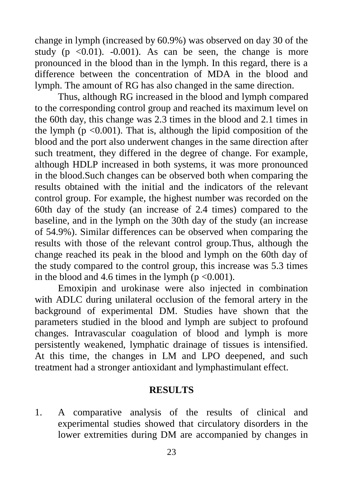change in lymph (increased by 60.9%) was observed on day 30 of the study ( $p \leq 0.01$ ).  $-0.001$ ). As can be seen, the change is more pronounced in the blood than in the lymph. In this regard, there is a difference between the concentration of MDA in the blood and lymph. The amount of RG has also changed in the same direction.

Thus, although RG increased in the blood and lymph compared to the corresponding control group and reached its maximum level on the 60th day, this change was 2.3 times in the blood and 2.1 times in the lymph ( $p \le 0.001$ ). That is, although the lipid composition of the blood and the port also underwent changes in the same direction after such treatment, they differed in the degree of change. For example, although HDLP increased in both systems, it was more pronounced in the blood.Such changes can be observed both when comparing the results obtained with the initial and the indicators of the relevant control group. For example, the highest number was recorded on the 60th day of the study (an increase of 2.4 times) compared to the baseline, and in the lymph on the 30th day of the study (an increase of 54.9%). Similar differences can be observed when comparing the results with those of the relevant control group.Thus, although the change reached its peak in the blood and lymph on the 60th day of the study compared to the control group, this increase was 5.3 times in the blood and 4.6 times in the lymph ( $p \le 0.001$ ).

Emoxipin and urokinase were also injected in combination with ADLC during unilateral occlusion of the femoral artery in the background of experimental DM. Studies have shown that the parameters studied in the blood and lymph are subject to profound changes. Intravascular coagulation of blood and lymph is more persistently weakened, lymphatic drainage of tissues is intensified. At this time, the changes in LM and LPO deepened, and such treatment had a stronger antioxidant and lymphastimulant effect.

#### **RESULTS**

1. A comparative analysis of the results of clinical and experimental studies showed that circulatory disorders in the lower extremities during DM are accompanied by changes in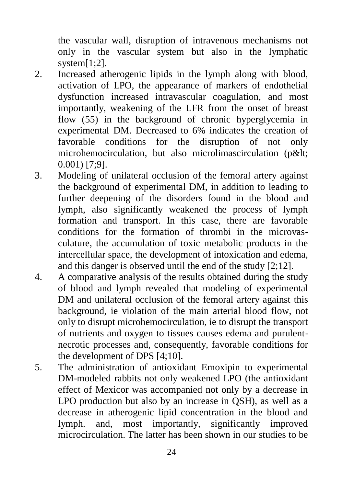the vascular wall, disruption of intravenous mechanisms not only in the vascular system but also in the lymphatic system $[1;2]$ .

- 2. Increased atherogenic lipids in the lymph along with blood, activation of LPO, the appearance of markers of endothelial dysfunction increased intravascular coagulation, and most importantly, weakening of the LFR from the onset of breast flow (55) in the background of chronic hyperglycemia in experimental DM. Decreased to 6% indicates the creation of favorable conditions for the disruption of not only microhemocirculation, but also microlimascirculation (p< 0.001) [7;9].
- 3. Modeling of unilateral occlusion of the femoral artery against the background of experimental DM, in addition to leading to further deepening of the disorders found in the blood and lymph, also significantly weakened the process of lymph formation and transport. In this case, there are favorable conditions for the formation of thrombi in the microvasculature, the accumulation of toxic metabolic products in the intercellular space, the development of intoxication and edema, and this danger is observed until the end of the study [2;12].
- 4. A comparative analysis of the results obtained during the study of blood and lymph revealed that modeling of experimental DM and unilateral occlusion of the femoral artery against this background, ie violation of the main arterial blood flow, not only to disrupt microhemocirculation, ie to disrupt the transport of nutrients and oxygen to tissues causes edema and purulentnecrotic processes and, consequently, favorable conditions for the development of DPS [4;10].
- 5. The administration of antioxidant Emoxipin to experimental DM-modeled rabbits not only weakened LPO (the antioxidant effect of Mexicor was accompanied not only by a decrease in LPO production but also by an increase in QSH), as well as a decrease in atherogenic lipid concentration in the blood and lymph. and, most importantly, significantly improved microcirculation. The latter has been shown in our studies to be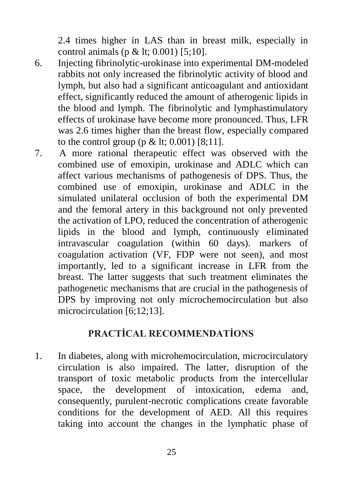2.4 times higher in LAS than in breast milk, especially in control animals (p & lt; 0.001) [5;10].

- 6. Injecting fibrinolytic-urokinase into experimental DM-modeled rabbits not only increased the fibrinolytic activity of blood and lymph, but also had a significant anticoagulant and antioxidant effect, significantly reduced the amount of atherogenic lipids in the blood and lymph. The fibrinolytic and lymphastimulatory effects of urokinase have become more pronounced. Thus, LFR was 2.6 times higher than the breast flow, especially compared to the control group (p  $<$  1t; 0.001) [8;11].
- 7. A more rational therapeutic effect was observed with the combined use of emoxipin, urokinase and ADLC which can affect various mechanisms of pathogenesis of DPS. Thus, the combined use of emoxipin, urokinase and ADLC in the simulated unilateral occlusion of both the experimental DM and the femoral artery in this background not only prevented the activation of LPO, reduced the concentration of atherogenic lipids in the blood and lymph, continuously eliminated intravascular coagulation (within 60 days). markers of coagulation activation (VF, FDP were not seen), and most importantly, led to a significant increase in LFR from the breast. The latter suggests that such treatment eliminates the pathogenetic mechanisms that are crucial in the pathogenesis of DPS by improving not only microchemocirculation but also microcirculation [6;12;13].

# **PRACTİCAL RECOMMENDATİONS**

1. In diabetes, along with microhemocirculation, microcirculatory circulation is also impaired. The latter, disruption of the transport of toxic metabolic products from the intercellular space, the development of intoxication, edema and, consequently, purulent-necrotic complications create favorable conditions for the development of AED. All this requires taking into account the changes in the lymphatic phase of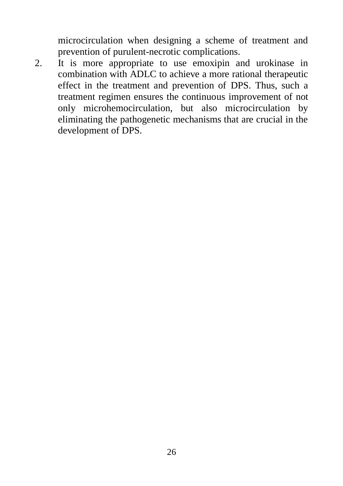microcirculation when designing a scheme of treatment and prevention of purulent-necrotic complications.

2. It is more appropriate to use emoxipin and urokinase in combination with ADLC to achieve a more rational therapeutic effect in the treatment and prevention of DPS. Thus, such a treatment regimen ensures the continuous improvement of not only microhemocirculation, but also microcirculation by eliminating the pathogenetic mechanisms that are crucial in the development of DPS.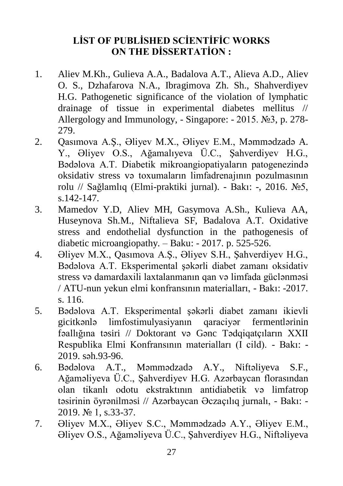## **LİST OF PUBLİSHED SCİENTİFİC WORKS ON THE DİSSERTATİON :**

- 1. Aliev M.Kh., Gulieva A.A., Badalova A.T., Alieva A.D., Aliev O. S., Dzhafarova N.A., Ibragimova Zh. Sh., Shahverdiyev H.G. Pathogenetic significance of the violation of lymphatic drainage of tissue in experimental diabetes mellitus // Allergology and Immunology, - Singapore: - 2015. №3, p. 278- 279.
- 2. Qasımova A.Ş., Əliyev M.X., Əliyev E.M., Məmmədzadə A. Y., Əliyev O.S., Ağamalıyeva Ü.C., Şahverdiyev H.G., Bədəlova A.T. Diabetik mikroangiopatiyaların patogenezində oksidativ stress və toxumaların limfadrenajının pozulmasının rolu // Sağlamlıq (Elmi-praktiki jurnal). - Bakı: -, 2016. №5, s.142-147.
- 3. Mamedov Y.D, Aliev MH, Gasymova A.Sh., Kulieva AA, Huseynova Sh.M., Niftalieva SF, Badalova A.T. Oxidative stress and endothelial dysfunction in the pathogenesis of diabetic microangiopathy. – Baku: - 2017. p. 525-526.
- 4. Əliyev М.Х., Qasımova A.Ş., Əliyev S.H., Şahverdiyev H.G., Bədəlova A.T. Eksperimental şəkərli diabet zamanı oksidativ stress və damardaxili laxtalanmanın qan və limfada güclənməsi / ATU-nun yekun elmi konfransının materialları, - Bakı: -2017. s. 116.
- 5. Bədəlova A.T. Eksperimental şəkərli diabet zamanı ikievli gicitkənlə limfostimulyasiyanın qaraciyər fermentlərinin fəallığına təsiri // Doktorant və Gənc Tədqiqatçıların XXII Respublika Elmi Konfransının materialları (I cild). - Bakı: - 2019. səh.93-96.
- 6. Bədəlova A.T., Məmmədzadə A.Y., Niftəliyeva S.F., Ağaməliyeva Ü.C., Şahverdiyev H.G. Azərbaycan florasından olan tikanlı odotu ekstraktının antidiabetik və limfatrop təsirinin öyrənilməsi // Azərbaycan Əczaçılıq jurnalı, - Bakı: - 2019. № 1, s.33-37.
- 7. Əliyev M.X., Əliyev S.C., Məmmədzadə A.Y., Əliyev E.M., Əliyev O.S., Ağaməliyeva Ü.C., Şahverdiyev H.G., Niftəliyeva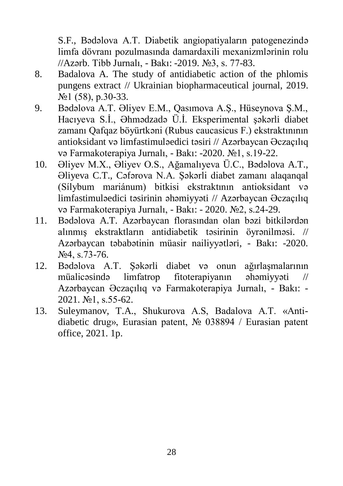S.F., Bədəlova A.T. Diabetik angiopatiyaların patogenezində limfa dövranı pozulmasında damardaxili mexanizmlərinin rolu //Azərb. Tibb Jurnalı, - Bakı: -2019. №3, s. 77-83.

- 8. Badalova A. The study of antidiabetic action of the phlomis pungens extract // Ukrainian biopharmaceutical journal, 2019. №1 (58), p.30-33.
- 9. Bədəlova A.T. Əliyev E.M., Qasımova A.Ş., Hüseynova Ş.M., Hacıyeva S.İ., Əhmədzadə Ü.İ. Eksperimental şəkərli diabet zamanı Qafqaz böyürtkəni (Rubus caucasicus F.) ekstraktınının antioksidant və limfastimuləedici təsiri // Azərbaycan Əczaçılıq və Farmakoterapiya Jurnalı, - Bakı: -2020. №1, s.19-22.
- 10. Əliyev M.X., Əliyev O.S., Ağamalıyeva Ü.C., Bədəlova A.T., Əliyeva C.T., Cəfərova N.A. Şəkərli diabet zamanı alaqanqal (Sílybum mariánum) bitkisi ekstraktının antioksidant və limfastimuləedici təsirinin əhəmiyyəti // Azərbaycan Əczaçılıq və Farmakoterapiya Jurnalı, - Bakı: - 2020. №2, s.24-29.
- 11. Bədəlova A.T. Azərbaycan florasından olan bəzi bitkilərdən alınmış ekstraktların antidiabetik təsirinin öyrənilməsi. // Azərbaycan təbabətinin müasir nailiyyətləri, - Bakı: -2020. №4, s.73-76.
- 12. Bədəlova A.T. Şəkərli diabet və onun ağırlaşmalarının müalicəsində limfatrop fitoterapiyanın əhəmiyyəti // Azərbaycan Əczaçılıq və Farmakoterapiya Jurnalı, - Bakı: - 2021. №1, s.55-62.
- 13. Suleymanov, T.A., Shukurova A.S, Badalova A.T. «Antidiabetic drug», Eurasian patent, № 038894 / Eurasian patent office, 2021. 1p.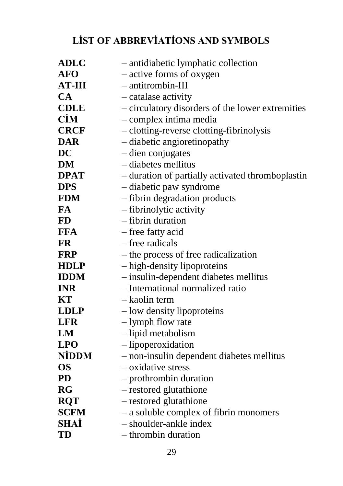# **LİST OF ABBREVİATİONS AND SYMBOLS**

| <b>ADLC</b>   | - antidiabetic lymphatic collection              |
|---------------|--------------------------------------------------|
| <b>AFO</b>    | - active forms of oxygen                         |
| <b>AT-III</b> | - antitrombin-III                                |
| CA            | - catalase activity                              |
| <b>CDLE</b>   | - circulatory disorders of the lower extremities |
| <b>CİM</b>    | - complex intima media                           |
| <b>CRCF</b>   | - clotting-reverse clotting-fibrinolysis         |
| <b>DAR</b>    | - diabetic angioretinopathy                      |
| <b>DC</b>     | - dien conjugates                                |
| DM            | - diabetes mellitus                              |
| <b>DPAT</b>   | - duration of partially activated thromboplastin |
| <b>DPS</b>    | - diabetic paw syndrome                          |
| <b>FDM</b>    | - fibrin degradation products                    |
| <b>FA</b>     | - fibrinolytic activity                          |
| <b>FD</b>     | - fibrin duration                                |
| <b>FFA</b>    | - free fatty acid                                |
| <b>FR</b>     | – free radicals                                  |
| <b>FRP</b>    | – the process of free radicalization             |
| <b>HDLP</b>   | - high-density lipoproteins                      |
| <b>IDDM</b>   | - insulin-dependent diabetes mellitus            |
| <b>INR</b>    | - International normalized ratio                 |
| KT            | – kaolin term                                    |
| <b>LDLP</b>   | - low density lipoproteins                       |
| <b>LFR</b>    | - lymph flow rate                                |
| LM            | - lipid metabolism                               |
| <b>LPO</b>    | - lipoperoxidation                               |
| <b>NİDDM</b>  | - non-insulin dependent diabetes mellitus        |
| <b>OS</b>     | - oxidative stress                               |
| <b>PD</b>     | - prothrombin duration                           |
| <b>RG</b>     | - restored glutathione                           |
| <b>RQT</b>    | - restored glutathione                           |
| <b>SCFM</b>   | - a soluble complex of fibrin monomers           |
| SHAİ          | - shoulder-ankle index                           |
| TD            | - thrombin duration                              |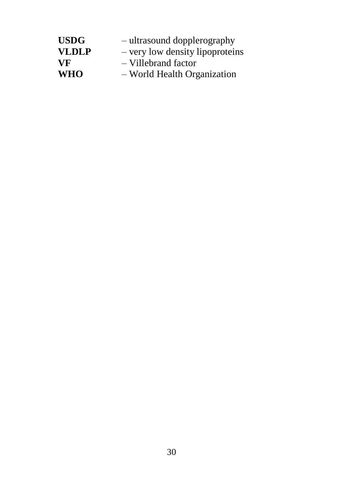| <b>USDG</b>  | - ultrasound dopplerography     |
|--------------|---------------------------------|
| <b>VLDLP</b> | - very low density lipoproteins |
| VF.          | - Villebrand factor             |
| <b>WHO</b>   | - World Health Organization     |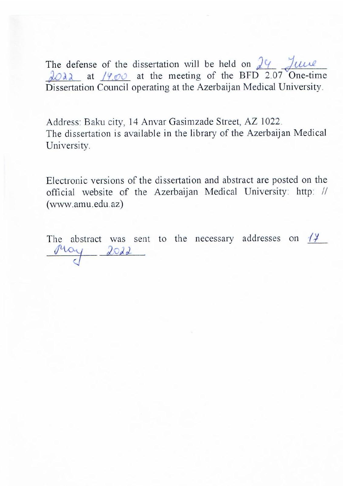The defense of the dissertation will be held on  $\frac{1}{2}$   $\frac{1}{2}$   $\frac{1}{2}$  $\lambda$ O $\lambda$  at /9.00 at the meeting of the BFD 2.07 One Dissertation Council operating at the Azerbaijan Medical University.

The defense of the dissertation will be disserted on  $\mathcal{L}_\text{max}$ 

Address: Baku city, 14 Anvar Gasimzade Street, AZ 1022. The dissertation is available in the library of the Azerbaijan Medical University.

Electronic versions of the dissertation and abstract are posted on the official website of the Azerbaijan Medical University: http: // (www.amu.edu.az)

The abstract was sent to the necessary addresses on  $\frac{1}{4}$ May 2022